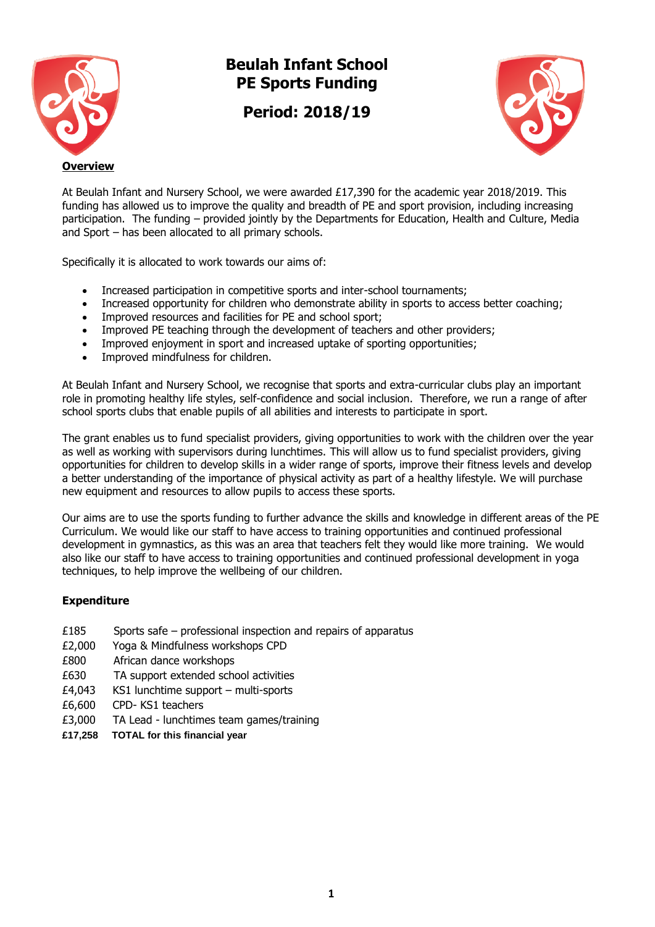

# **Beulah Infant School PE Sports Funding**

**Period: 2018/19**



At Beulah Infant and Nursery School, we were awarded £17,390 for the academic year 2018/2019. This funding has allowed us to improve the quality and breadth of PE and sport provision, including increasing participation. The funding – provided jointly by the Departments for Education, Health and Culture, Media and Sport – has been allocated to all primary schools.

Specifically it is allocated to work towards our aims of:

- Increased participation in competitive sports and inter-school tournaments;
- Increased opportunity for children who demonstrate ability in sports to access better coaching;
- Improved resources and facilities for PE and school sport;
- Improved PE teaching through the development of teachers and other providers;
- Improved enjoyment in sport and increased uptake of sporting opportunities;
- Improved mindfulness for children.

At Beulah Infant and Nursery School, we recognise that sports and extra-curricular clubs play an important role in promoting healthy life styles, self-confidence and social inclusion. Therefore, we run a range of after school sports clubs that enable pupils of all abilities and interests to participate in sport.

The grant enables us to fund specialist providers, giving opportunities to work with the children over the year as well as working with supervisors during lunchtimes. This will allow us to fund specialist providers, giving opportunities for children to develop skills in a wider range of sports, improve their fitness levels and develop a better understanding of the importance of physical activity as part of a healthy lifestyle. We will purchase new equipment and resources to allow pupils to access these sports.

Our aims are to use the sports funding to further advance the skills and knowledge in different areas of the PE Curriculum. We would like our staff to have access to training opportunities and continued professional development in gymnastics, as this was an area that teachers felt they would like more training. We would also like our staff to have access to training opportunities and continued professional development in yoga techniques, to help improve the wellbeing of our children.

## **Expenditure**

- £185 Sports safe professional inspection and repairs of apparatus
- £2,000 Yoga & Mindfulness workshops CPD
- £800 African dance workshops
- £630 TA support extended school activities
- £4,043 KS1 lunchtime support multi-sports
- £6,600 CPD- KS1 teachers
- £3,000 TA Lead lunchtimes team games/training
- **£17,258 TOTAL for this financial year**